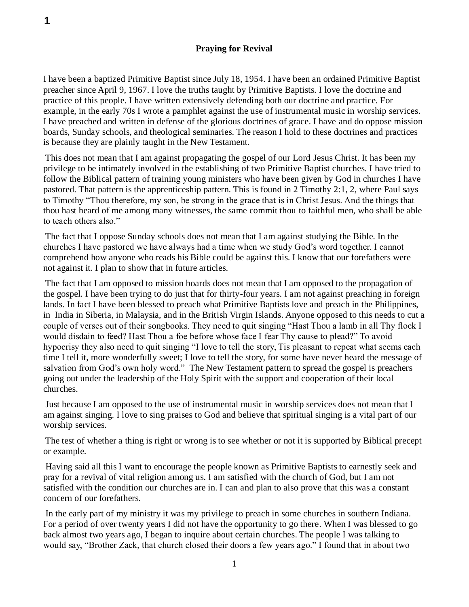## **Praying for Revival**

I have been a baptized Primitive Baptist since July 18, 1954. I have been an ordained Primitive Baptist preacher since April 9, 1967. I love the truths taught by Primitive Baptists. I love the doctrine and practice of this people. I have written extensively defending both our doctrine and practice. For example, in the early 70s I wrote a pamphlet against the use of instrumental music in worship services. I have preached and written in defense of the glorious doctrines of grace. I have and do oppose mission boards, Sunday schools, and theological seminaries. The reason I hold to these doctrines and practices is because they are plainly taught in the New Testament.

This does not mean that I am against propagating the gospel of our Lord Jesus Christ. It has been my privilege to be intimately involved in the establishing of two Primitive Baptist churches. I have tried to follow the Biblical pattern of training young ministers who have been given by God in churches I have pastored. That pattern is the apprenticeship pattern. This is found in 2 Timothy 2:1, 2, where Paul says to Timothy "Thou therefore, my son, be strong in the grace that is in Christ Jesus. And the things that thou hast heard of me among many witnesses, the same commit thou to faithful men, who shall be able to teach others also."

The fact that I oppose Sunday schools does not mean that I am against studying the Bible. In the churches I have pastored we have always had a time when we study God's word together. I cannot comprehend how anyone who reads his Bible could be against this. I know that our forefathers were not against it. I plan to show that in future articles.

The fact that I am opposed to mission boards does not mean that I am opposed to the propagation of the gospel. I have been trying to do just that for thirty-four years. I am not against preaching in foreign lands. In fact I have been blessed to preach what Primitive Baptists love and preach in the Philippines, in India in Siberia, in Malaysia, and in the British Virgin Islands. Anyone opposed to this needs to cut a couple of verses out of their songbooks. They need to quit singing "Hast Thou a lamb in all Thy flock I would disdain to feed? Hast Thou a foe before whose face I fear Thy cause to plead?" To avoid hypocrisy they also need to quit singing "I love to tell the story, Tis pleasant to repeat what seems each time I tell it, more wonderfully sweet; I love to tell the story, for some have never heard the message of salvation from God's own holy word." The New Testament pattern to spread the gospel is preachers going out under the leadership of the Holy Spirit with the support and cooperation of their local churches.

Just because I am opposed to the use of instrumental music in worship services does not mean that I am against singing. I love to sing praises to God and believe that spiritual singing is a vital part of our worship services.

The test of whether a thing is right or wrong is to see whether or not it is supported by Biblical precept or example.

Having said all this I want to encourage the people known as Primitive Baptists to earnestly seek and pray for a revival of vital religion among us. I am satisfied with the church of God, but I am not satisfied with the condition our churches are in. I can and plan to also prove that this was a constant concern of our forefathers.

In the early part of my ministry it was my privilege to preach in some churches in southern Indiana. For a period of over twenty years I did not have the opportunity to go there. When I was blessed to go back almost two years ago, I began to inquire about certain churches. The people I was talking to would say, "Brother Zack, that church closed their doors a few years ago." I found that in about two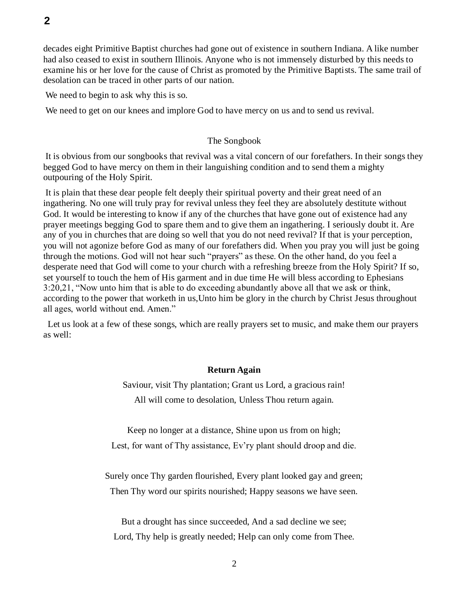decades eight Primitive Baptist churches had gone out of existence in southern Indiana. A like number had also ceased to exist in southern Illinois. Anyone who is not immensely disturbed by this needs to examine his or her love for the cause of Christ as promoted by the Primitive Baptists. The same trail of desolation can be traced in other parts of our nation.

We need to begin to ask why this is so.

We need to get on our knees and implore God to have mercy on us and to send us revival.

# The Songbook

It is obvious from our songbooks that revival was a vital concern of our forefathers. In their songs they begged God to have mercy on them in their languishing condition and to send them a mighty outpouring of the Holy Spirit.

It is plain that these dear people felt deeply their spiritual poverty and their great need of an ingathering. No one will truly pray for revival unless they feel they are absolutely destitute without God. It would be interesting to know if any of the churches that have gone out of existence had any prayer meetings begging God to spare them and to give them an ingathering. I seriously doubt it. Are any of you in churches that are doing so well that you do not need revival? If that is your perception, you will not agonize before God as many of our forefathers did. When you pray you will just be going through the motions. God will not hear such "prayers" as these. On the other hand, do you feel a desperate need that God will come to your church with a refreshing breeze from the Holy Spirit? If so, set yourself to touch the hem of His garment and in due time He will bless according to Ephesians 3:20,21, "Now unto him that is able to do exceeding abundantly above all that we ask or think, according to the power that worketh in us,Unto him be glory in the church by Christ Jesus throughout all ages, world without end. Amen."

 Let us look at a few of these songs, which are really prayers set to music, and make them our prayers as well:

# **Return Again**

Saviour, visit Thy plantation; Grant us Lord, a gracious rain! All will come to desolation, Unless Thou return again.

Keep no longer at a distance, Shine upon us from on high; Lest, for want of Thy assistance, Ev'ry plant should droop and die.

Surely once Thy garden flourished, Every plant looked gay and green; Then Thy word our spirits nourished; Happy seasons we have seen.

But a drought has since succeeded, And a sad decline we see; Lord, Thy help is greatly needed; Help can only come from Thee.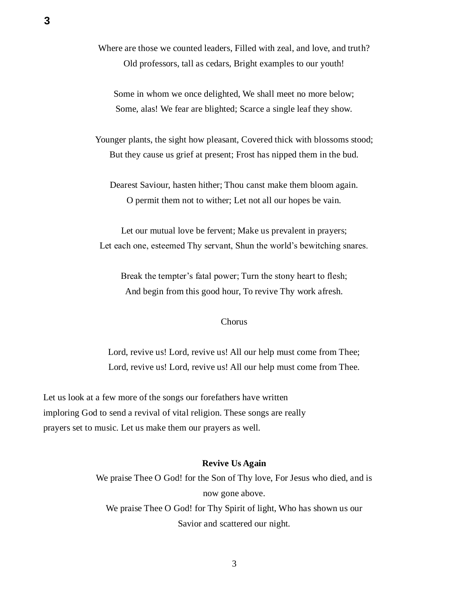Where are those we counted leaders, Filled with zeal, and love, and truth? Old professors, tall as cedars, Bright examples to our youth!

Some in whom we once delighted, We shall meet no more below; Some, alas! We fear are blighted; Scarce a single leaf they show.

Younger plants, the sight how pleasant, Covered thick with blossoms stood; But they cause us grief at present; Frost has nipped them in the bud.

Dearest Saviour, hasten hither; Thou canst make them bloom again. O permit them not to wither; Let not all our hopes be vain.

Let our mutual love be fervent; Make us prevalent in prayers; Let each one, esteemed Thy servant, Shun the world's bewitching snares.

Break the tempter's fatal power; Turn the stony heart to flesh; And begin from this good hour, To revive Thy work afresh.

#### Chorus

Lord, revive us! Lord, revive us! All our help must come from Thee; Lord, revive us! Lord, revive us! All our help must come from Thee.

Let us look at a few more of the songs our forefathers have written imploring God to send a revival of vital religion. These songs are really prayers set to music. Let us make them our prayers as well.

## **Revive Us Again**

We praise Thee O God! for the Son of Thy love, For Jesus who died, and is now gone above. We praise Thee O God! for Thy Spirit of light, Who has shown us our Savior and scattered our night.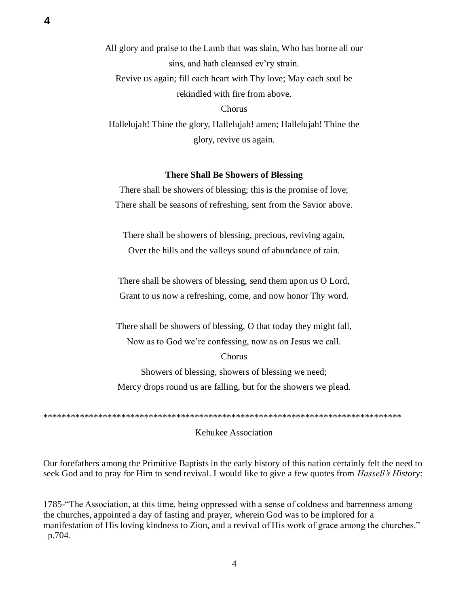All glory and praise to the Lamb that was slain, Who has borne all our sins, and hath cleansed ev'ry strain. Revive us again; fill each heart with Thy love; May each soul be rekindled with fire from above. Chorus

Hallelujah! Thine the glory, Hallelujah! amen; Hallelujah! Thine the glory, revive us again.

### **There Shall Be Showers of Blessing**

There shall be showers of blessing; this is the promise of love; There shall be seasons of refreshing, sent from the Savior above.

There shall be showers of blessing, precious, reviving again, Over the hills and the valleys sound of abundance of rain.

There shall be showers of blessing, send them upon us O Lord, Grant to us now a refreshing, come, and now honor Thy word.

There shall be showers of blessing, O that today they might fall, Now as to God we're confessing, now as on Jesus we call.

#### Chorus

Showers of blessing, showers of blessing we need; Mercy drops round us are falling, but for the showers we plead.

\*\*\*\*\*\*\*\*\*\*\*\*\*\*\*\*\*\*\*\*\*\*\*\*\*\*\*\*\*\*\*\*\*\*\*\*\*\*\*\*\*\*\*\*\*\*\*\*\*\*\*\*\*\*\*\*\*\*\*\*\*\*\*\*\*\*\*\*\*\*\*\*\*\*\*\*\*\*

#### Kehukee Association

Our forefathers among the Primitive Baptists in the early history of this nation certainly felt the need to seek God and to pray for Him to send revival. I would like to give a few quotes from *Hassell's History*:

1785-"The Association, at this time, being oppressed with a sense of coldness and barrenness among the churches, appointed a day of fasting and prayer, wherein God was to be implored for a manifestation of His loving kindness to Zion, and a revival of His work of grace among the churches." –p.704.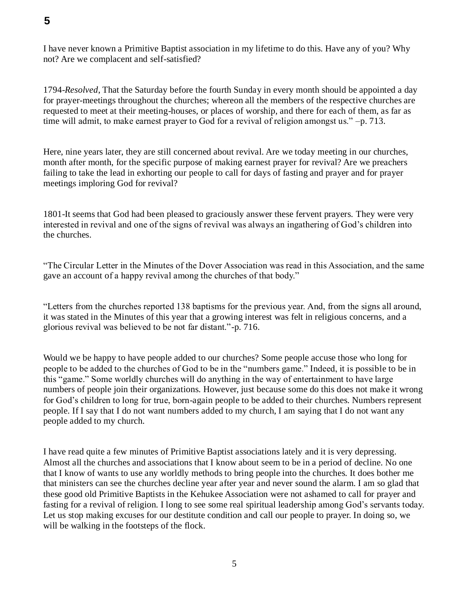I have never known a Primitive Baptist association in my lifetime to do this. Have any of you? Why not? Are we complacent and self-satisfied?

1794-*Resolved*, That the Saturday before the fourth Sunday in every month should be appointed a day for prayer-meetings throughout the churches; whereon all the members of the respective churches are requested to meet at their meeting-houses, or places of worship, and there for each of them, as far as time will admit, to make earnest prayer to God for a revival of religion amongst us." –p. 713.

Here, nine years later, they are still concerned about revival. Are we today meeting in our churches, month after month, for the specific purpose of making earnest prayer for revival? Are we preachers failing to take the lead in exhorting our people to call for days of fasting and prayer and for prayer meetings imploring God for revival?

1801-It seems that God had been pleased to graciously answer these fervent prayers. They were very interested in revival and one of the signs of revival was always an ingathering of God's children into the churches.

"The Circular Letter in the Minutes of the Dover Association was read in this Association, and the same gave an account of a happy revival among the churches of that body."

"Letters from the churches reported 138 baptisms for the previous year. And, from the signs all around, it was stated in the Minutes of this year that a growing interest was felt in religious concerns, and a glorious revival was believed to be not far distant."-p. 716.

Would we be happy to have people added to our churches? Some people accuse those who long for people to be added to the churches of God to be in the "numbers game." Indeed, it is possible to be in this "game." Some worldly churches will do anything in the way of entertainment to have large numbers of people join their organizations. However, just because some do this does not make it wrong for God's children to long for true, born-again people to be added to their churches. Numbers represent people. If I say that I do not want numbers added to my church, I am saying that I do not want any people added to my church.

I have read quite a few minutes of Primitive Baptist associations lately and it is very depressing. Almost all the churches and associations that I know about seem to be in a period of decline. No one that I know of wants to use any worldly methods to bring people into the churches. It does bother me that ministers can see the churches decline year after year and never sound the alarm. I am so glad that these good old Primitive Baptists in the Kehukee Association were not ashamed to call for prayer and fasting for a revival of religion. I long to see some real spiritual leadership among God's servants today. Let us stop making excuses for our destitute condition and call our people to prayer. In doing so, we will be walking in the footsteps of the flock.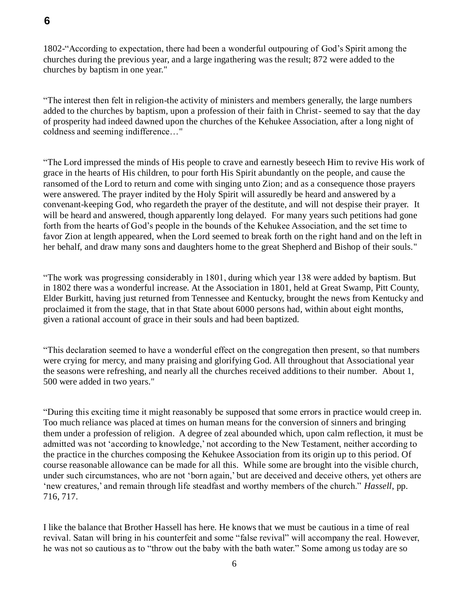1802-"According to expectation, there had been a wonderful outpouring of God's Spirit among the churches during the previous year, and a large ingathering was the result; 872 were added to the churches by baptism in one year."

"The interest then felt in religion-the activity of ministers and members generally, the large numbers added to the churches by baptism, upon a profession of their faith in Christ- seemed to say that the day of prosperity had indeed dawned upon the churches of the Kehukee Association, after a long night of coldness and seeming indifference…"

"The Lord impressed the minds of His people to crave and earnestly beseech Him to revive His work of grace in the hearts of His children, to pour forth His Spirit abundantly on the people, and cause the ransomed of the Lord to return and come with singing unto Zion; and as a consequence those prayers were answered. The prayer indited by the Holy Spirit will assuredly be heard and answered by a convenant-keeping God, who regardeth the prayer of the destitute, and will not despise their prayer. It will be heard and answered, though apparently long delayed. For many years such petitions had gone forth from the hearts of God's people in the bounds of the Kehukee Association, and the set time to favor Zion at length appeared, when the Lord seemed to break forth on the right hand and on the left in her behalf, and draw many sons and daughters home to the great Shepherd and Bishop of their souls."

"The work was progressing considerably in 1801, during which year 138 were added by baptism. But in 1802 there was a wonderful increase. At the Association in 1801, held at Great Swamp, Pitt County, Elder Burkitt, having just returned from Tennessee and Kentucky, brought the news from Kentucky and proclaimed it from the stage, that in that State about 6000 persons had, within about eight months, given a rational account of grace in their souls and had been baptized.

"This declaration seemed to have a wonderful effect on the congregation then present, so that numbers were crying for mercy, and many praising and glorifying God. All throughout that Associational year the seasons were refreshing, and nearly all the churches received additions to their number. About 1, 500 were added in two years."

"During this exciting time it might reasonably be supposed that some errors in practice would creep in. Too much reliance was placed at times on human means for the conversion of sinners and bringing them under a profession of religion. A degree of zeal abounded which, upon calm reflection, it must be admitted was not 'according to knowledge,' not according to the New Testament, neither according to the practice in the churches composing the Kehukee Association from its origin up to this period. Of course reasonable allowance can be made for all this. While some are brought into the visible church, under such circumstances, who are not 'born again,' but are deceived and deceive others, yet others are 'new creatures,' and remain through life steadfast and worthy members of the church." *Hassell*, pp. 716, 717.

I like the balance that Brother Hassell has here. He knows that we must be cautious in a time of real revival. Satan will bring in his counterfeit and some "false revival" will accompany the real. However, he was not so cautious as to "throw out the baby with the bath water." Some among us today are so